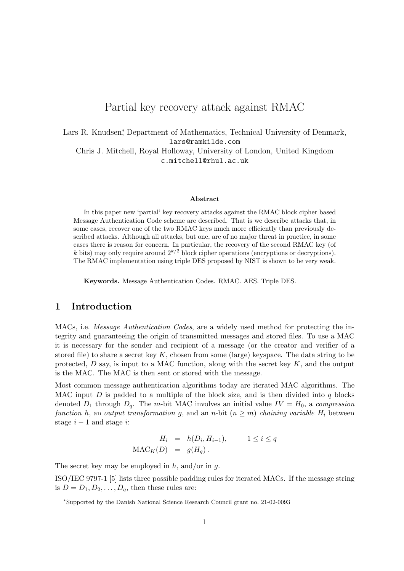# Partial key recovery attack against RMAC

Lars R. Knudsen<sup>\*</sup>, Department of Mathematics, Technical University of Denmark, lars@ramkilde.com Chris J. Mitchell, Royal Holloway, University of London, United Kingdom c.mitchell@rhul.ac.uk

#### Abstract

In this paper new 'partial' key recovery attacks against the RMAC block cipher based Message Authentication Code scheme are described. That is we describe attacks that, in some cases, recover one of the two RMAC keys much more efficiently than previously described attacks. Although all attacks, but one, are of no major threat in practice, in some cases there is reason for concern. In particular, the recovery of the second RMAC key (of k bits) may only require around  $2^{k/2}$  block cipher operations (encryptions or decryptions). The RMAC implementation using triple DES proposed by NIST is shown to be very weak.

Keywords. Message Authentication Codes. RMAC. AES. Triple DES.

# 1 Introduction

MACs, i.e. *Message Authentication Codes*, are a widely used method for protecting the integrity and guaranteeing the origin of transmitted messages and stored files. To use a MAC it is necessary for the sender and recipient of a message (or the creator and verifier of a stored file) to share a secret key K, chosen from some (large) keyspace. The data string to be protected,  $D$  say, is input to a MAC function, along with the secret key  $K$ , and the output is the MAC. The MAC is then sent or stored with the message.

Most common message authentication algorithms today are iterated MAC algorithms. The MAC input  $D$  is padded to a multiple of the block size, and is then divided into  $q$  blocks denoted  $D_1$  through  $D_q$ . The m-bit MAC involves an initial value  $IV = H_0$ , a compression function h, an output transformation g, and an n-bit  $(n \geq m)$  chaining variable  $H_i$  between stage  $i - 1$  and stage  $i$ :

$$
H_i = h(D_i, H_{i-1}), \qquad 1 \le i \le q
$$
  

$$
\text{MAC}_K(D) = g(H_q).
$$

The secret key may be employed in  $h$ , and/or in  $q$ .

ISO/IEC 9797-1 [5] lists three possible padding rules for iterated MACs. If the message string is  $D = D_1, D_2, \ldots, D_q$ , then these rules are:

<sup>∗</sup>Supported by the Danish National Science Research Council grant no. 21-02-0093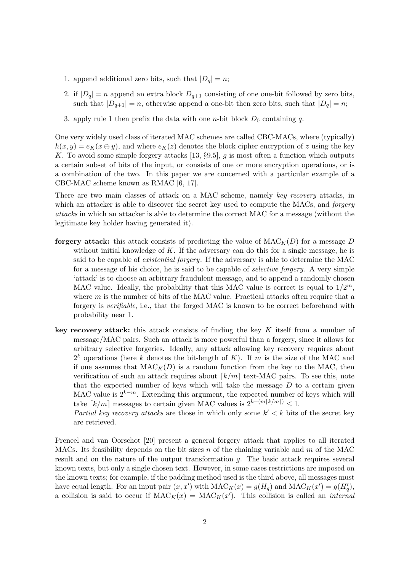- 1. append additional zero bits, such that  $|D_q| = n$ ;
- 2. if  $|D_q| = n$  append an extra block  $D_{q+1}$  consisting of one one-bit followed by zero bits, such that  $|D_{q+1}| = n$ , otherwise append a one-bit then zero bits, such that  $|D_q| = n$ ;
- 3. apply rule 1 then prefix the data with one *n*-bit block  $D_0$  containing q.

One very widely used class of iterated MAC schemes are called CBC-MACs, where (typically)  $h(x, y) = e<sub>K</sub>(x \oplus y)$ , and where  $e<sub>K</sub>(z)$  denotes the block cipher encryption of z using the key K. To avoid some simple forgery attacks [13,  $\S 9.5$ ], g is most often a function which outputs a certain subset of bits of the input, or consists of one or more encryption operations, or is a combination of the two. In this paper we are concerned with a particular example of a CBC-MAC scheme known as RMAC [6, 17].

There are two main classes of attack on a MAC scheme, namely key recovery attacks, in which an attacker is able to discover the secret key used to compute the MACs, and *forgery* attacks in which an attacker is able to determine the correct MAC for a message (without the legitimate key holder having generated it).

- forgery attack: this attack consists of predicting the value of  $\text{MAC}_{K}(D)$  for a message D without initial knowledge of  $K$ . If the adversary can do this for a single message, he is said to be capable of existential forgery. If the adversary is able to determine the MAC for a message of his choice, he is said to be capable of selective forgery. A very simple 'attack' is to choose an arbitrary fraudulent message, and to append a randomly chosen MAC value. Ideally, the probability that this MAC value is correct is equal to  $1/2^m$ , where  $m$  is the number of bits of the MAC value. Practical attacks often require that a forgery is verifiable, i.e., that the forged MAC is known to be correct beforehand with probability near 1.
- key recovery attack: this attack consists of finding the key K itself from a number of message/MAC pairs. Such an attack is more powerful than a forgery, since it allows for arbitrary selective forgeries. Ideally, any attack allowing key recovery requires about  $2^k$  operations (here k denotes the bit-length of K). If m is the size of the MAC and if one assumes that  $MAC_K(D)$  is a random function from the key to the MAC, then verification of such an attack requires about  $\lceil k/m \rceil$  text-MAC pairs. To see this, note that the expected number of keys which will take the message  $D$  to a certain given MAC value is  $2^{k-m}$ . Extending this argument, the expected number of keys which will take  $\lceil k/m \rceil$  messages to certain given MAC values is  $2^{k-(m\lceil k/m \rceil)} \leq 1$ .

Partial key recovery attacks are those in which only some  $k' < k$  bits of the secret key are retrieved.

Preneel and van Oorschot [20] present a general forgery attack that applies to all iterated MACs. Its feasibility depends on the bit sizes n of the chaining variable and m of the MAC result and on the nature of the output transformation g. The basic attack requires several known texts, but only a single chosen text. However, in some cases restrictions are imposed on the known texts; for example, if the padding method used is the third above, all messages must have equal length. For an input pair  $(x, x')$  with  $MAC_K(x) = g(H_q)$  and  $MAC_K(x') = g(H_q')$ , a collision is said to occur if  $\mathrm{MAC}_K(x) = \mathrm{MAC}_K(x')$ . This collision is called an *internal*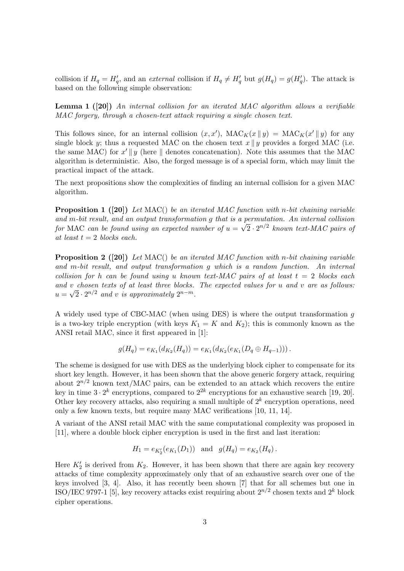collision if  $H_q = H'_q$ , and an external collision if  $H_q \neq H'_q$  but  $g(H_q) = g(H'_q)$ . The attack is based on the following simple observation:

**Lemma 1** ([20]) An internal collision for an iterated MAC algorithm allows a verifiable MAC forgery, through a chosen-text attack requiring a single chosen text.

This follows since, for an internal collision  $(x, x')$ ,  $MAC_K(x || y) = MAC_K(x' || y)$  for any single block y; thus a requested MAC on the chosen text  $x \parallel y$  provides a forged MAC (i.e. the same MAC) for  $x' \parallel y$  (here  $\parallel$  denotes concatenation). Note this assumes that the MAC algorithm is deterministic. Also, the forged message is of a special form, which may limit the practical impact of the attack.

The next propositions show the complexities of finding an internal collision for a given MAC algorithm.

**Proposition 1** ([20]) Let MAC() be an iterated MAC function with n-bit chaining variable and m-bit result, and an output transformation g that is a permutation. An internal collision for MAC can be found using an expected number of  $u = \sqrt{2} \cdot 2^{n/2}$  known text-MAC pairs of at least  $t = 2$  blocks each.

**Proposition 2** ([20]) Let MAC() be an iterated MAC function with n-bit chaining variable and m-bit result, and output transformation g which is a random function. An internal collision for h can be found using u known text-MAC pairs of at least  $t = 2$  blocks each and v chosen texts of at least three blocks. The expected values for u and v are as follows:  $u = \sqrt{2} \cdot 2^{n/2}$  and v is approximately  $2^{n-m}$ .

A widely used type of CBC-MAC (when using DES) is where the output transformation g is a two-key triple encryption (with keys  $K_1 = K$  and  $K_2$ ); this is commonly known as the ANSI retail MAC, since it first appeared in [1]:

$$
g(H_q) = e_{K_1}(d_{K_2}(H_q)) = e_{K_1}(d_{K_2}(e_{K_1}(D_q \oplus H_{q-1}))).
$$

The scheme is designed for use with DES as the underlying block cipher to compensate for its short key length. However, it has been shown that the above generic forgery attack, requiring about  $2^{n/2}$  known text/MAC pairs, can be extended to an attack which recovers the entire key in time  $3 \cdot 2^k$  encryptions, compared to  $2^{2k}$  encryptions for an exhaustive search [19, 20]. Other key recovery attacks, also requiring a small multiple of  $2<sup>k</sup>$  encryption operations, need only a few known texts, but require many MAC verifications [10, 11, 14].

A variant of the ANSI retail MAC with the same computational complexity was proposed in [11], where a double block cipher encryption is used in the first and last iteration:

$$
H_1 = e_{K'_2}(e_{K_1}(D_1))
$$
 and  $g(H_q) = e_{K_2}(H_q)$ .

Here  $K_2'$  is derived from  $K_2$ . However, it has been shown that there are again key recovery attacks of time complexity approximately only that of an exhaustive search over one of the keys involved [3, 4]. Also, it has recently been shown [7] that for all schemes but one in ISO/IEC 9797-1 [5], key recovery attacks exist requiring about  $2^{n/2}$  chosen texts and  $2^k$  block cipher operations.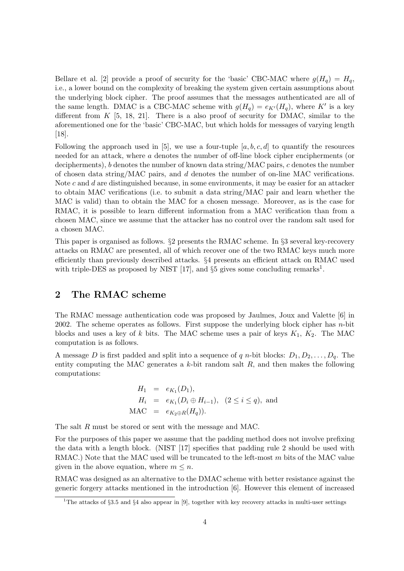Bellare et al. [2] provide a proof of security for the 'basic' CBC-MAC where  $g(H_q) = H_q$ , i.e., a lower bound on the complexity of breaking the system given certain assumptions about the underlying block cipher. The proof assumes that the messages authenticated are all of the same length. DMAC is a CBC-MAC scheme with  $g(H_q) = e_{K'}(H_q)$ , where K' is a key different from  $K$  [5, 18, 21]. There is a also proof of security for DMAC, similar to the aforementioned one for the 'basic' CBC-MAC, but which holds for messages of varying length [18].

Following the approach used in [5], we use a four-tuple  $[a, b, c, d]$  to quantify the resources needed for an attack, where a denotes the number of off-line block cipher encipherments (or decipherments), b denotes the number of known data string/MAC pairs, c denotes the number of chosen data string/MAC pairs, and d denotes the number of on-line MAC verifications. Note  $c$  and  $d$  are distinguished because, in some environments, it may be easier for an attacker to obtain MAC verifications (i.e. to submit a data string/MAC pair and learn whether the MAC is valid) than to obtain the MAC for a chosen message. Moreover, as is the case for RMAC, it is possible to learn different information from a MAC verification than from a chosen MAC, since we assume that the attacker has no control over the random salt used for a chosen MAC.

This paper is organised as follows. §2 presents the RMAC scheme. In §3 several key-recovery attacks on RMAC are presented, all of which recover one of the two RMAC keys much more efficiently than previously described attacks. §4 presents an efficient attack on RMAC used with triple-DES as proposed by NIST [17], and  $\S5$  gives some concluding remarks<sup>1</sup>.

# 2 The RMAC scheme

The RMAC message authentication code was proposed by Jaulmes, Joux and Valette [6] in 2002. The scheme operates as follows. First suppose the underlying block cipher has  $n$ -bit blocks and uses a key of k bits. The MAC scheme uses a pair of keys  $K_1$ ,  $K_2$ . The MAC computation is as follows.

A message D is first padded and split into a sequence of q n-bit blocks:  $D_1, D_2, \ldots, D_q$ . The entity computing the MAC generates a  $k$ -bit random salt  $R$ , and then makes the following computations:

$$
H_1 = e_{K_1}(D_1),
$$
  
\n
$$
H_i = e_{K_1}(D_i \oplus H_{i-1}), \quad (2 \le i \le q),
$$
 and  
\nMAC =  $e_{K_2 \oplus R}(H_q)$ ).

The salt R must be stored or sent with the message and MAC.

For the purposes of this paper we assume that the padding method does not involve prefixing the data with a length block. (NIST [17] specifies that padding rule 2 should be used with RMAC.) Note that the MAC used will be truncated to the left-most m bits of the MAC value given in the above equation, where  $m \leq n$ .

RMAC was designed as an alternative to the DMAC scheme with better resistance against the generic forgery attacks mentioned in the introduction [6]. However this element of increased

<sup>&</sup>lt;sup>1</sup>The attacks of §3.5 and §4 also appear in [9], together with key recovery attacks in multi-user settings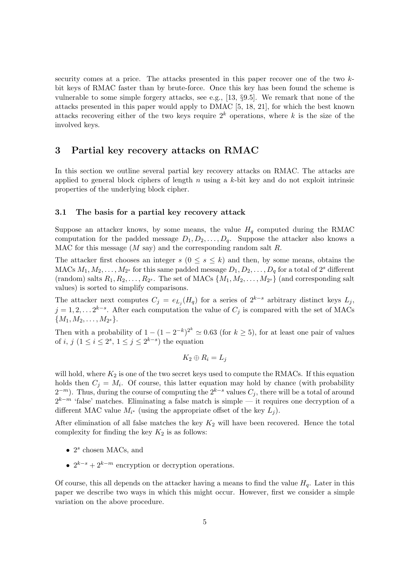security comes at a price. The attacks presented in this paper recover one of the two kbit keys of RMAC faster than by brute-force. Once this key has been found the scheme is vulnerable to some simple forgery attacks, see e.g., [13, §9.5]. We remark that none of the attacks presented in this paper would apply to DMAC [5, 18, 21], for which the best known attacks recovering either of the two keys require  $2^k$  operations, where k is the size of the involved keys.

## 3 Partial key recovery attacks on RMAC

In this section we outline several partial key recovery attacks on RMAC. The attacks are applied to general block ciphers of length  $n$  using a  $k$ -bit key and do not exploit intrinsic properties of the underlying block cipher.

### 3.1 The basis for a partial key recovery attack

Suppose an attacker knows, by some means, the value  $H<sub>q</sub>$  computed during the RMAC computation for the padded message  $D_1, D_2, \ldots, D_q$ . Suppose the attacker also knows a MAC for this message  $(M \text{ say})$  and the corresponding random salt  $R$ .

The attacker first chooses an integer  $s$   $(0 \leq s \leq k)$  and then, by some means, obtains the MACs  $M_1, M_2, \ldots, M_{2^s}$  for this same padded message  $D_1, D_2, \ldots, D_q$  for a total of  $2^s$  different (random) salts  $R_1, R_2, \ldots, R_{2^s}$ . The set of MACs  $\{M_1, M_2, \ldots, M_{2^s}\}$  (and corresponding salt values) is sorted to simplify comparisons.

The attacker next computes  $C_j = e_{L_j}(H_q)$  for a series of  $2^{k-s}$  arbitrary distinct keys  $L_j$ ,  $j = 1, 2, \ldots 2^{k-s}$ . After each computation the value of  $C_j$  is compared with the set of MACs  ${M_1, M_2, \ldots, M_{2^s}.$ 

Then with a probability of  $1 - (1 - 2^{-k})^{2^k} \approx 0.63$  (for  $k \ge 5$ ), for at least one pair of values of i, j  $(1 \leq i \leq 2^s, 1 \leq j \leq 2^{k-s})$  the equation

$$
K_2 \oplus R_i = L_j
$$

will hold, where  $K_2$  is one of the two secret keys used to compute the RMACs. If this equation holds then  $C_j = M_i$ . Of course, this latter equation may hold by chance (with probability  $(2^{-m})$ . Thus, during the course of computing the  $2^{k-s}$  values  $C_j$ , there will be a total of around  $2^{k-m}$  'false' matches. Eliminating a false match is simple — it requires one decryption of a different MAC value  $M_{i^*}$  (using the appropriate offset of the key  $L_j$ ).

After elimination of all false matches the key  $K_2$  will have been recovered. Hence the total complexity for finding the key  $K_2$  is as follows:

- $2<sup>s</sup>$  chosen MACs, and
- $2^{k-s} + 2^{k-m}$  encryption or decryption operations.

Of course, this all depends on the attacker having a means to find the value  $H_q$ . Later in this paper we describe two ways in which this might occur. However, first we consider a simple variation on the above procedure.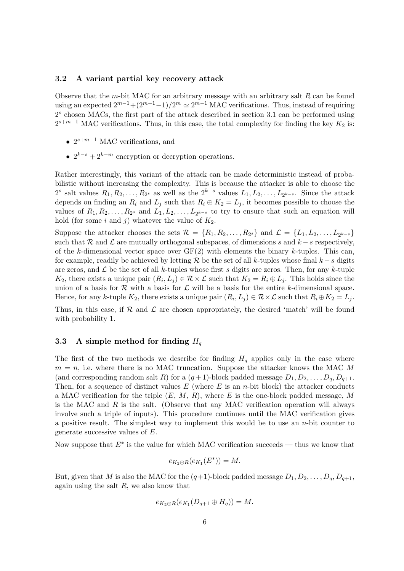## 3.2 A variant partial key recovery attack

Observe that the m-bit MAC for an arbitrary message with an arbitrary salt  $R$  can be found using an expected  $2^{m-1}+(2^{m-1}-1)/2^m \simeq 2^{m-1}$  MAC verifications. Thus, instead of requiring  $2<sup>s</sup>$  chosen MACs, the first part of the attack described in section 3.1 can be performed using  $2^{s+m-1}$  MAC verifications. Thus, in this case, the total complexity for finding the key  $K_2$  is:

- $2^{s+m-1}$  MAC verifications, and
- $2^{k-s} + 2^{k-m}$  encryption or decryption operations.

Rather interestingly, this variant of the attack can be made deterministic instead of probabilistic without increasing the complexity. This is because the attacker is able to choose the  $2^s$  salt values  $R_1, R_2, \ldots, R_{2^s}$  as well as the  $2^{k-s}$  values  $L_1, L_2, \ldots, L_{2^{k-s}}$ . Since the attack depends on finding an  $R_i$  and  $L_j$  such that  $R_i \oplus K_2 = L_j$ , it becomes possible to choose the values of  $R_1, R_2, \ldots, R_{2^s}$  and  $L_1, L_2, \ldots, L_{2^{k-s}}$  to try to ensure that such an equation will hold (for some i and j) whatever the value of  $K_2$ .

Suppose the attacker chooses the sets  $\mathcal{R} = \{R_1, R_2, \ldots, R_{2^s}\}\$  and  $\mathcal{L} = \{L_1, L_2, \ldots, L_{2^{k-s}}\}\$ such that R and L are mutually orthogonal subspaces, of dimensions s and  $k - s$  respectively, of the k-dimensional vector space over  $GF(2)$  with elements the binary k-tuples. This can, for example, readily be achieved by letting R be the set of all k-tuples whose final  $k - s$  digits are zeros, and  $\mathcal L$  be the set of all k-tuples whose first s digits are zeros. Then, for any k-tuple  $K_2$ , there exists a unique pair  $(R_i, L_j) \in \mathcal{R} \times \mathcal{L}$  such that  $K_2 = R_i \oplus L_j$ . This holds since the union of a basis for  $R$  with a basis for  $L$  will be a basis for the entire k-dimensional space. Hence, for any k-tuple  $K_2$ , there exists a unique pair  $(R_i, L_j) \in \mathcal{R} \times \mathcal{L}$  such that  $R_i \oplus K_2 = L_j$ .

Thus, in this case, if  $\mathcal R$  and  $\mathcal L$  are chosen appropriately, the desired 'match' will be found with probability 1.

## 3.3 A simple method for finding  $H_q$

The first of the two methods we describe for finding  $H<sub>q</sub>$  applies only in the case where  $m = n$ , i.e. where there is no MAC truncation. Suppose the attacker knows the MAC M (and corresponding random salt R) for a  $(q+1)$ -block padded message  $D_1, D_2, \ldots, D_q, D_{q+1}$ . Then, for a sequence of distinct values  $E$  (where  $E$  is an *n*-bit block) the attacker conducts a MAC verification for the triple  $(E, M, R)$ , where E is the one-block padded message, M is the MAC and  $R$  is the salt. (Observe that any MAC verification operation will always involve such a triple of inputs). This procedure continues until the MAC verification gives a positive result. The simplest way to implement this would be to use an  $n$ -bit counter to generate successive values of E.

Now suppose that  $E^*$  is the value for which MAC verification succeeds — thus we know that

$$
e_{K_2\oplus R}(e_{K_1}(E^*))=M.
$$

But, given that M is also the MAC for the  $(q+1)$ -block padded message  $D_1, D_2, \ldots, D_q, D_{q+1}$ , again using the salt  $R$ , we also know that

$$
e_{K_2\oplus R}(e_{K_1}(D_{q+1}\oplus H_q))=M.
$$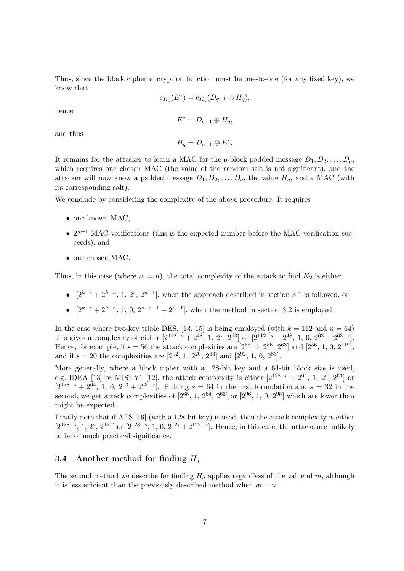Thus, since the block cipher encryption function must be one-to-one (for any fixed key), we know that

$$
e_{K_1}(E^*) = e_{K_1}(D_{q+1} \oplus H_q),
$$

hence

$$
E^* = D_{q+1} \oplus H_q,
$$

and thus

$$
H_q = D_{q+1} \oplus E^*.
$$

It remains for the attacker to learn a MAC for the q-block padded message  $D_1, D_2, \ldots, D_q$ , which requires one chosen MAC (the value of the random salt is not significant), and the attacker will now know a padded message  $D_1, D_2, \ldots, D_q$ , the value  $H_q$ , and a MAC (with its corresponding salt).

We conclude by considering the complexity of the above procedure. It requires

- one known MAC,
- $2^{n-1}$  MAC verifications (this is the expected number before the MAC verification succeeds), and
- one chosen MAC.

Thus, in this case (where  $m = n$ ), the total complexity of the attack to find  $K_2$  is either

- $[2^{k-s}+2^{k-n}, 1, 2^s, 2^{n-1}]$ , when the approach described in section 3.1 is followed, or
- $[2^{k-s}+2^{k-n}, 1, 0, 2^{s+n-1}+2^{n-1}]$ , when the method in section 3.2 is employed.

In the case where two-key triple DES, [13, 15] is being employed (with  $k = 112$  and  $n = 64$ ) this gives a complexity of either  $[2^{112-s} + 2^{48}, 1, 2^s, 2^{63}]$  or  $[2^{112-s} + 2^{48}, 1, 0, 2^{63} + 2^{63+s}]$ . Hence, for example, if  $s = 56$  the attack complexities are  $[2^{56}, 1, 2^{56}, 2^{63}]$  and  $[2^{56}, 1, 0, 2^{119}]$ , and if  $s = 20$  the complexities are  $[2^{92}, 1, 2^{20}, 2^{63}]$  and  $[2^{92}, 1, 0, 2^{83}]$ .

More generally, where a block cipher with a 128-bit key and a 64-bit block size is used, e.g. IDEA [13] or MISTY1 [12], the attack complexity is either  $[2^{128-s} + 2^{64}, 1, 2^s, 2^{63}]$  or  $[2^{128-s} + 2^{64}, 1, 0, 2^{63} + 2^{63+s}]$ . Putting  $s = 64$  in the first formulation and  $s = 32$  in the second, we get attack complexities of  $[2^{65}, 1, 2^{64}, 2^{63}]$  or  $[2^{96}, 1, 0, 2^{95}]$  which are lower than might be expected.

Finally note that if AES [16] (with a 128-bit key) is used, then the attack complexity is either  $[2^{128-s}, 1, 2^s, 2^{127}]$  or  $[2^{128-s}, 1, 0, 2^{127}+2^{127+s}]$ . Hence, in this case, the attacks are unlikely to be of much practical significance.

## 3.4 Another method for finding  $H_q$

The second method we describe for finding  $H_q$  applies regardless of the value of m, although it is less efficient than the previously described method when  $m = n$ .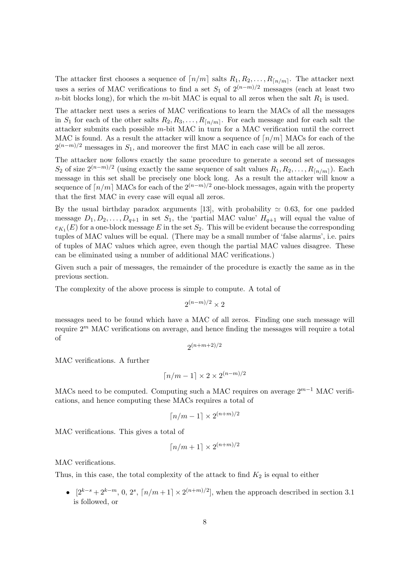The attacker first chooses a sequence of  $\lceil n/m \rceil$  salts  $R_1, R_2, \ldots, R_{\lceil n/m \rceil}$ . The attacker next uses a series of MAC verifications to find a set  $S_1$  of  $2^{(n-m)/2}$  messages (each at least two *n*-bit blocks long), for which the *m*-bit MAC is equal to all zeros when the salt  $R_1$  is used.

The attacker next uses a series of MAC verifications to learn the MACs of all the messages in  $S_1$  for each of the other salts  $R_2, R_3, \ldots, R_{\lceil n/m \rceil}$ . For each message and for each salt the attacker submits each possible m-bit MAC in turn for a MAC verification until the correct MAC is found. As a result the attacker will know a sequence of  $\lceil n/m \rceil$  MACs for each of the  $2^{(n-m)/2}$  messages in  $S_1$ , and moreover the first MAC in each case will be all zeros.

The attacker now follows exactly the same procedure to generate a second set of messages S<sub>2</sub> of size  $2^{(n-m)/2}$  (using exactly the same sequence of salt values  $R_1, R_2, \ldots, R_{\lfloor n/m \rfloor}$ ). Each message in this set shall be precisely one block long. As a result the attacker will know a sequence of  $\lceil n/m \rceil$  MACs for each of the  $2^{(n-m)/2}$  one-block messages, again with the property that the first MAC in every case will equal all zeros.

By the usual birthday paradox arguments [13], with probability  $\simeq 0.63$ , for one padded message  $D_1, D_2, \ldots, D_{q+1}$  in set  $S_1$ , the 'partial MAC value'  $H_{q+1}$  will equal the value of  $e_{K_1}(E)$  for a one-block message E in the set  $S_2$ . This will be evident because the corresponding tuples of MAC values will be equal. (There may be a small number of 'false alarms', i.e. pairs of tuples of MAC values which agree, even though the partial MAC values disagree. These can be eliminated using a number of additional MAC verifications.)

Given such a pair of messages, the remainder of the procedure is exactly the same as in the previous section.

The complexity of the above process is simple to compute. A total of

$$
2^{(n-m)/2} \times 2
$$

messages need to be found which have a MAC of all zeros. Finding one such message will require  $2<sup>m</sup>$  MAC verifications on average, and hence finding the messages will require a total of

$$
2^{\left(n+m+2\right)/2}
$$

MAC verifications. A further

$$
\lceil n/m - 1 \rceil \times 2 \times 2^{(n-m)/2}
$$

MACs need to be computed. Computing such a MAC requires on average  $2^{m-1}$  MAC verifications, and hence computing these MACs requires a total of

$$
\lceil n/m - 1 \rceil \times 2^{(n+m)/2}
$$

MAC verifications. This gives a total of

$$
\lceil n/m+1\rceil \times 2^{(n+m)/2}
$$

MAC verifications.

Thus, in this case, the total complexity of the attack to find  $K_2$  is equal to either

•  $[2^{k-s}+2^{k-m}, 0, 2^s, \lceil n/m+1 \rceil \times 2^{(n+m)/2}$ , when the approach described in section 3.1 is followed, or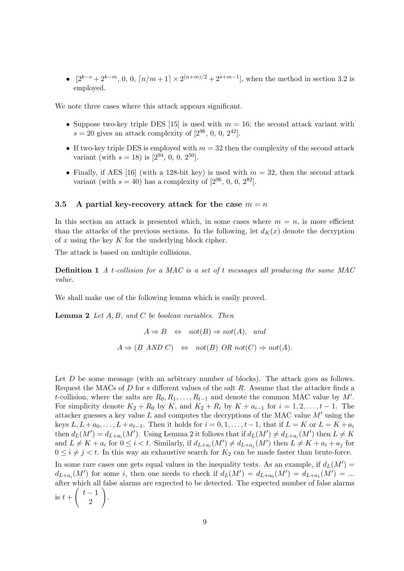•  $[2^{k-s}+2^{k-m}, 0, 0, \lceil n/m+1 \rceil \times 2^{(n+m)/2} + 2^{s+m-1}$ , when the method in section 3.2 is employed.

We note three cases where this attack appears significant.

- Suppose two-key triple DES [15] is used with  $m = 16$ ; the second attack variant with  $s = 20$  gives an attack complexity of [ $2^{96}$ , 0, 0,  $2^{42}$ ].
- If two-key triple DES is employed with  $m = 32$  then the complexity of the second attack variant (with  $s = 18$ ) is [ $2^{94}$ , 0, 0,  $2^{50}$ ].
- Finally, if AES [16] (with a 128-bit key) is used with  $m = 32$ , then the second attack variant (with  $s = 40$ ) has a complexity of  $[2^{96}, 0, 0, 2^{82}]$ .

### 3.5 A partial key-recovery attack for the case  $m = n$

In this section an attack is presented which, in some cases where  $m = n$ , is more efficient than the attacks of the previous sections. In the following, let  $d_K(x)$  denote the decryption of x using the key  $K$  for the underlying block cipher.

The attack is based on multiple collisions.

**Definition 1** A t-collision for a MAC is a set of t messages all producing the same MAC value.

We shall make use of the following lemma which is easily proved.

**Lemma 2** Let  $A, B, and C$  be boolean variables. Then

$$
A \Rightarrow B \Leftrightarrow \text{not}(B) \Rightarrow \text{not}(A), \text{ and}
$$
  

$$
A \Rightarrow (B \text{ AND } C) \Leftrightarrow \text{not}(B) \text{ OR } \text{not}(C) \Rightarrow \text{not}(A).
$$

Let D be some message (with an arbitrary number of blocks). The attack goes as follows. Request the MACs of D for s different values of the salt R. Assume that the attacker finds a t-collision, where the salts are  $R_0, R_1, \ldots, R_{t-1}$  and denote the common MAC value by M'. For simplicity denote  $K_2 + R_0$  by K, and  $K_2 + R_i$  by  $K + a_{i-1}$  for  $i = 1, 2, \ldots, t - 1$ . The attacker guesses a key value  $L$  and computes the decryptions of the MAC value  $M'$  using the keys  $L, L + a_0, \ldots, L + a_{t-1}$ . Then it holds for  $i = 0, 1, \ldots, t-1$ , that if  $L = K$  or  $L = K + a_i$ then  $d_L(M') = d_{L+a_i}(M')$ . Using Lemma 2 it follows that if  $d_L(M') \neq d_{L+a_i}(M')$  then  $L \neq K$ and  $L \neq K + a_i$  for  $0 \leq i < t$ . Similarly, if  $d_{L+a_i}(M') \neq d_{L+a_j}(M')$  then  $L \neq K + a_i + a_j$  for  $0 \leq i \neq j \leq t$ . In this way an exhaustive search for  $K_2$  can be made faster than brute-force. In some rare cases one gets equal values in the inequality tests. As an example, if  $d_L(M') =$ 

 $d_{L+a_i}(M')$  for some i, then one needs to check if  $d_L(M') = d_{L+a_0}(M') = d_{L+a_1}(M') = ...$ after which all false alarms are expected to be detected. The expected number of false alarms is  $t + \begin{pmatrix} t - 1 \\ 0 \end{pmatrix}$  $\begin{pmatrix} 1 \\ 2 \end{pmatrix}$ .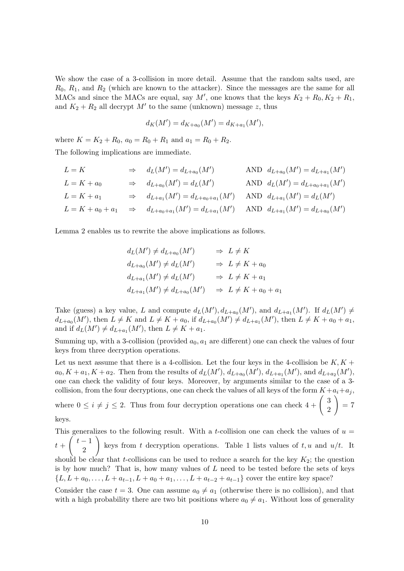We show the case of a 3-collision in more detail. Assume that the random salts used, are  $R_0, R_1$ , and  $R_2$  (which are known to the attacker). Since the messages are the same for all MACs and since the MACs are equal, say M', one knows that the keys  $K_2 + R_0, K_2 + R_1$ , and  $K_2 + R_2$  all decrypt M' to the same (unknown) message z, thus

$$
d_K(M') = d_{K+a_0}(M') = d_{K+a_1}(M'),
$$

where  $K = K_2 + R_0$ ,  $a_0 = R_0 + R_1$  and  $a_1 = R_0 + R_2$ . The following implications are immediate.

$$
L = K \Rightarrow d_L(M') = d_{L+a_0}(M') \qquad \text{AND} \ d_{L+a_0}(M') = d_{L+a_1}(M')
$$
  
\n
$$
L = K + a_0 \Rightarrow d_{L+a_0}(M') = d_L(M') \qquad \text{AND} \ d_L(M') = d_{L+a_0+a_1}(M')
$$
  
\n
$$
L = K + a_1 \Rightarrow d_{L+a_1}(M') = d_{L+a_0+a_1}(M') \qquad \text{AND} \ d_{L+a_1}(M') = d_L(M')
$$
  
\n
$$
L = K + a_0 + a_1 \Rightarrow d_{L+a_0+a_1}(M') = d_{L+a_1}(M') \qquad \text{AND} \ d_{L+a_1}(M') = d_{L+a_0}(M')
$$

Lemma 2 enables us to rewrite the above implications as follows.

$$
d_L(M') \neq d_{L+a_0}(M') \qquad \Rightarrow \quad L \neq K
$$
  
\n
$$
d_{L+a_0}(M') \neq d_L(M') \qquad \Rightarrow \quad L \neq K + a_0
$$
  
\n
$$
d_{L+a_1}(M') \neq d_L(M') \qquad \Rightarrow \quad L \neq K + a_1
$$
  
\n
$$
d_{L+a_1}(M') \neq d_{L+a_0}(M') \qquad \Rightarrow \quad L \neq K + a_0 + a_1
$$

Take (guess) a key value, L and compute  $d_L(M')$ ,  $d_{L+a_0}(M')$ , and  $d_{L+a_1}(M')$ . If  $d_L(M') \neq$  $d_{L+a_0}(M')$ , then  $L \neq K$  and  $L \neq K + a_0$ , if  $d_{L+a_0}(M') \neq d_{L+a_1}(M')$ , then  $L \neq K + a_0 + a_1$ , and if  $d_L(M') \neq d_{L+a_1}(M')$ , then  $L \neq K + a_1$ .

Summing up, with a 3-collision (provided  $a_0, a_1$  are different) one can check the values of four keys from three decryption operations.

Let us next assume that there is a 4-collision. Let the four keys in the 4-collision be  $K, K +$  $a_0, K + a_1, K + a_2$ . Then from the results of  $d_L(M'), d_{L+a_0}(M'), d_{L+a_1}(M'),$  and  $d_{L+a_2}(M'),$ one can check the validity of four keys. Moreover, by arguments similar to the case of a 3 collision, from the four decryptions, one can check the values of all keys of the form  $K + a_i + a_j$ , where  $0 \le i \ne j \le 2$ . Thus from four decryption operations one can check  $4 + \begin{pmatrix} 3 \\ 2 \end{pmatrix}$  $\begin{pmatrix} 0 \\ 2 \end{pmatrix} = 7$ 

keys.

This generalizes to the following result. With a *t*-collision one can check the values of  $u =$  $t + \left(\begin{array}{c} t-1 \\ 0 \end{array}\right)$  $\begin{bmatrix} 1 \end{bmatrix}$  keys from t decryption operations. Table 1 lists values of t, u and  $u/t$ . It should be clear that t-collisions can be used to reduce a search for the key  $K_2$ ; the question is by how much? That is, how many values of  $L$  need to be tested before the sets of keys  ${L, L + a_0, \ldots, L + a_{t-1}, L + a_0 + a_1, \ldots, L + a_{t-2} + a_{t-1}}$  cover the entire key space?

Consider the case  $t = 3$ . One can assume  $a_0 \neq a_1$  (otherwise there is no collision), and that with a high probability there are two bit positions where  $a_0 \neq a_1$ . Without loss of generality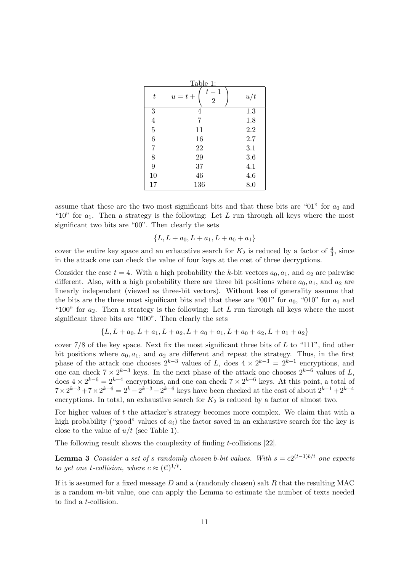| Table 1:         |                      |     |
|------------------|----------------------|-----|
| $\, t \,$        | $t-1$<br>$u=t+$<br>2 | u/t |
| 3                | 4                    | 1.3 |
| $\overline{4}$   | 7                    | 1.8 |
| $\overline{5}$   | 11                   | 2.2 |
| $\boldsymbol{6}$ | 16                   | 2.7 |
| $\overline{7}$   | 22                   | 3.1 |
| 8                | 29                   | 3.6 |
| 9                | 37                   | 4.1 |
| 10               | 46                   | 4.6 |
| 17               | 136                  | 8.0 |

assume that these are the two most significant bits and that these bits are "01" for  $a_0$  and "10" for  $a_1$ . Then a strategy is the following: Let L run through all keys where the most significant two bits are "00". Then clearly the sets

$$
\{L, L + a_0, L + a_1, L + a_0 + a_1\}
$$

cover the entire key space and an exhaustive search for  $K_2$  is reduced by a factor of  $\frac{4}{3}$ , since in the attack one can check the value of four keys at the cost of three decryptions.

Consider the case  $t = 4$ . With a high probability the k-bit vectors  $a_0, a_1$ , and  $a_2$  are pairwise different. Also, with a high probability there are three bit positions where  $a_0, a_1$ , and  $a_2$  are linearly independent (viewed as three-bit vectors). Without loss of generality assume that the bits are the three most significant bits and that these are "001" for  $a_0$ , "010" for  $a_1$  and "100" for  $a_2$ . Then a strategy is the following: Let L run through all keys where the most significant three bits are "000". Then clearly the sets

$$
\{L, L+a_0, L+a_1, L+a_2, L+a_0+a_1, L+a_0+a_2, L+a_1+a_2\}
$$

cover  $7/8$  of the key space. Next fix the most significant three bits of L to "111", find other bit positions where  $a_0, a_1$ , and  $a_2$  are different and repeat the strategy. Thus, in the first phase of the attack one chooses  $2^{k-3}$  values of L, does  $4 \times 2^{k-3} = 2^{k-1}$  encryptions, and one can check  $7 \times 2^{k-3}$  keys. In the next phase of the attack one chooses  $2^{k-6}$  values of L, does  $4 \times 2^{k-6} = 2^{k-4}$  encryptions, and one can check  $7 \times 2^{k-6}$  keys. At this point, a total of  $7 \times 2^{k-3} + 7 \times 2^{k-6} = 2^k - 2^{k-3} - 2^{k-6}$  keys have been checked at the cost of about  $2^{k-1} + 2^{k-4}$ encryptions. In total, an exhaustive search for  $K_2$  is reduced by a factor of almost two.

For higher values of t the attacker's strategy becomes more complex. We claim that with a high probability ("good" values of  $a_i$ ) the factor saved in an exhaustive search for the key is close to the value of  $u/t$  (see Table 1).

The following result shows the complexity of finding t-collisions [22].

**Lemma 3** Consider a set of s randomly chosen b-bit values. With  $s = c2^{(t-1)b/t}$  one expects to get one t-collision, where  $c \approx (t!)^{1/t}$ .

If it is assumed for a fixed message  $D$  and a (randomly chosen) salt  $R$  that the resulting MAC is a random  $m$ -bit value, one can apply the Lemma to estimate the number of texts needed to find a t-collision.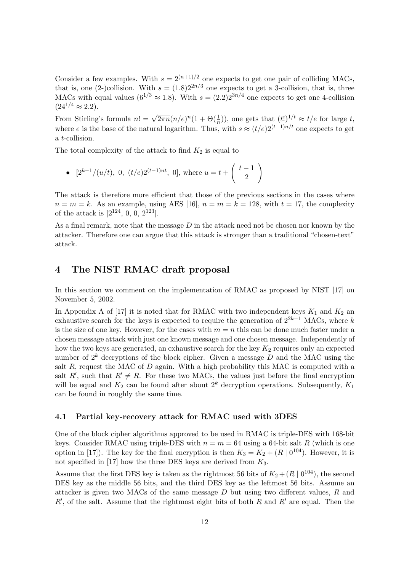Consider a few examples. With  $s = 2^{(n+1)/2}$  one expects to get one pair of colliding MACs, that is, one (2-)collision. With  $s = (1.8)2^{2n/3}$  one expects to get a 3-collision, that is, three MACs with equal values  $(6^{1/3} \approx 1.8)$ . With  $s = (2.2)2^{3n/4}$  one expects to get one 4-collision  $(24^{1/4} \approx 2.2)$ .

From Stirling's formula  $n! = \sqrt{2\pi n} (n/e)^n (1 + \Theta(\frac{1}{n}))$ , one gets that  $(t!)^{1/t} \approx t/e$  for large t, where e is the base of the natural logarithm. Thus, with  $s \approx (t/e)2^{(t-1)n/t}$  one expects to get a t-collision.

The total complexity of the attack to find  $K_2$  is equal to

• 
$$
[2^{k-1}/(u/t), 0, (t/e)2^{(t-1)nt}, 0]
$$
, where  $u = t + \begin{pmatrix} t-1 \\ 2 \end{pmatrix}$ 

The attack is therefore more efficient that those of the previous sections in the cases where  $n = m = k$ . As an example, using AES [16],  $n = m = k = 128$ , with  $t = 17$ , the complexity of the attack is  $[2^{124}, 0, 0, 2^{123}]$ .

As a final remark, note that the message  $D$  in the attack need not be chosen nor known by the attacker. Therefore one can argue that this attack is stronger than a traditional "chosen-text" attack.

# 4 The NIST RMAC draft proposal

In this section we comment on the implementation of RMAC as proposed by NIST [17] on November 5, 2002.

In Appendix A of [17] it is noted that for RMAC with two independent keys  $K_1$  and  $K_2$  and exhaustive search for the keys is expected to require the generation of  $2^{2k-1}$  MACs, where k is the size of one key. However, for the cases with  $m = n$  this can be done much faster under a chosen message attack with just one known message and one chosen message. Independently of how the two keys are generated, an exhaustive search for the key  $K_2$  requires only an expected number of  $2^k$  decryptions of the block cipher. Given a message D and the MAC using the salt R, request the MAC of  $D$  again. With a high probability this MAC is computed with a salt R', such that  $R' \neq R$ . For these two MACs, the values just before the final encryption will be equal and  $K_2$  can be found after about  $2^k$  decryption operations. Subsequently,  $K_1$ can be found in roughly the same time.

## 4.1 Partial key-recovery attack for RMAC used with 3DES

One of the block cipher algorithms approved to be used in RMAC is triple-DES with 168-bit keys. Consider RMAC using triple-DES with  $n = m = 64$  using a 64-bit salt R (which is one option in [17]). The key for the final encryption is then  $K_3 = K_2 + (R \mid 0^{104})$ . However, it is not specified in [17] how the three DES keys are derived from  $K_3$ .

Assume that the first DES key is taken as the rightmost 56 bits of  $K_2 + (R \mid 0^{104})$ , the second DES key as the middle 56 bits, and the third DES key as the leftmost 56 bits. Assume an attacker is given two MACs of the same message  $D$  but using two different values,  $R$  and  $R'$ , of the salt. Assume that the rightmost eight bits of both R and  $R'$  are equal. Then the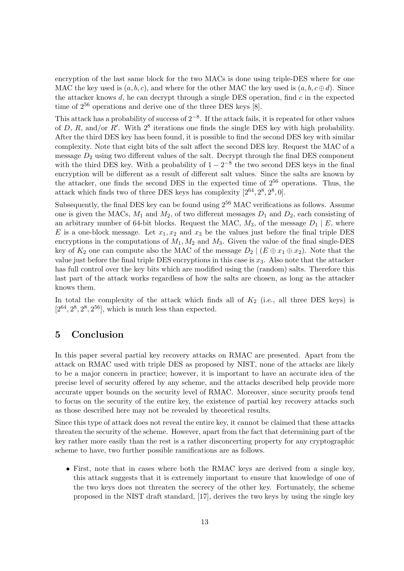encryption of the last same block for the two MACs is done using triple-DES where for one MAC the key used is  $(a, b, c)$ , and where for the other MAC the key used is  $(a, b, c \oplus d)$ . Since the attacker knows  $d$ , he can decrypt through a single DES operation, find  $c$  in the expected time of  $2^{56}$  operations and derive one of the three DES keys [8].

This attack has a probability of success of  $2^{-8}$ . If the attack fails, it is repeated for other values of D, R, and/or R'. With  $2^8$  iterations one finds the single DES key with high probability. After the third DES key has been found, it is possible to find the second DES key with similar complexity. Note that eight bits of the salt affect the second DES key. Request the MAC of a message  $D_2$  using two different values of the salt. Decrypt through the final DES component with the third DES key. With a probability of  $1-2^{-8}$  the two second DES keys in the final encryption will be different as a result of different salt values. Since the salts are known by the attacker, one finds the second DES in the expected time of  $2^{56}$  operations. Thus, the attack which finds two of three DES keys has complexity  $[2^{64}, 2^8, 2^8, 0]$ .

Subsequently, the final DES key can be found using  $2^{56}$  MAC verifications as follows. Assume one is given the MACs,  $M_1$  and  $M_2$ , of two different messages  $D_1$  and  $D_2$ , each consisting of an arbitrary number of 64-bit blocks. Request the MAC,  $M_3$ , of the message  $D_1 \,|\, E$ , where E is a one-block message. Let  $x_1, x_2$  and  $x_3$  be the values just before the final triple DES encryptions in the computations of  $M_1, M_2$  and  $M_3$ . Given the value of the final single-DES key of  $K_2$  one can compute also the MAC of the message  $D_2 \mid (E \oplus x_1 \oplus x_2)$ . Note that the value just before the final triple DES encryptions in this case is  $x_3$ . Also note that the attacker has full control over the key bits which are modified using the (random) salts. Therefore this last part of the attack works regardless of how the salts are chosen, as long as the attacker knows them.

In total the complexity of the attack which finds all of  $K_2$  (i.e., all three DES keys) is  $[2^{64}, 2^8, 2^8, 2^{56}]$ , which is much less than expected.

# 5 Conclusion

In this paper several partial key recovery attacks on RMAC are presented. Apart from the attack on RMAC used with triple DES as proposed by NIST, none of the attacks are likely to be a major concern in practice; however, it is important to have an accurate idea of the precise level of security offered by any scheme, and the attacks described help provide more accurate upper bounds on the security level of RMAC. Moreover, since security proofs tend to focus on the security of the entire key, the existence of partial key recovery attacks such as those described here may not be revealed by theoretical results.

Since this type of attack does not reveal the entire key, it cannot be claimed that these attacks threaten the security of the scheme. However, apart from the fact that determining part of the key rather more easily than the rest is a rather disconcerting property for any cryptographic scheme to have, two further possible ramifications are as follows.

• First, note that in cases where both the RMAC keys are derived from a single key, this attack suggests that it is extremely important to ensure that knowledge of one of the two keys does not threaten the secrecy of the other key. Fortunately, the scheme proposed in the NIST draft standard, [17], derives the two keys by using the single key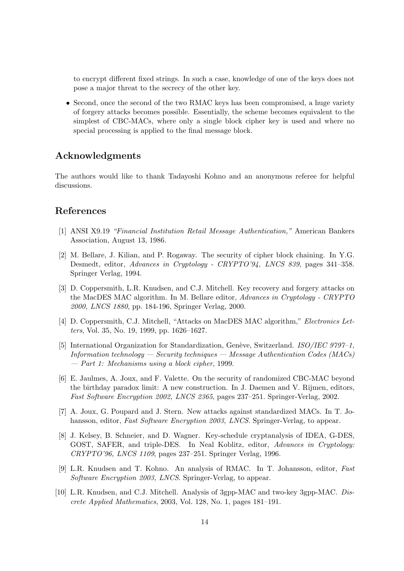to encrypt different fixed strings. In such a case, knowledge of one of the keys does not pose a major threat to the secrecy of the other key.

• Second, once the second of the two RMAC keys has been compromised, a huge variety of forgery attacks becomes possible. Essentially, the scheme becomes equivalent to the simplest of CBC-MACs, where only a single block cipher key is used and where no special processing is applied to the final message block.

# Acknowledgments

The authors would like to thank Tadayoshi Kohno and an anonymous referee for helpful discussions.

# References

- [1] ANSI X9.19 "Financial Institution Retail Message Authentication," American Bankers Association, August 13, 1986.
- [2] M. Bellare, J. Kilian, and P. Rogaway. The security of cipher block chaining. In Y.G. Desmedt, editor, Advances in Cryptology - CRYPTO'94, LNCS 839, pages 341–358. Springer Verlag, 1994.
- [3] D. Coppersmith, L.R. Knudsen, and C.J. Mitchell. Key recovery and forgery attacks on the MacDES MAC algorithm. In M. Bellare editor, Advances in Cryptology - CRYPTO 2000, LNCS 1880, pp. 184-196, Springer Verlag, 2000.
- [4] D. Coppersmith, C.J. Mitchell, "Attacks on MacDES MAC algorithm," Electronics Letters, Vol. 35, No. 19, 1999, pp. 1626–1627.
- [5] International Organization for Standardization, Genève, Switzerland. ISO/IEC 9797-1, Information technology — Security techniques — Message Authentication Codes (MACs) — Part 1: Mechanisms using a block cipher, 1999.
- [6] E. Jaulmes, A. Joux, and F. Valette. On the security of randomized CBC-MAC beyond the birthday paradox limit: A new construction. In J. Daemen and V. Rijmen, editors, Fast Software Encryption 2002, LNCS 2365, pages 237–251. Springer-Verlag, 2002.
- [7] A. Joux, G. Poupard and J. Stern. New attacks against standardized MACs. In T. Johansson, editor, Fast Software Encryption 2003, LNCS. Springer-Verlag, to appear.
- [8] J. Kelsey, B. Schneier, and D. Wagner. Key-schedule cryptanalysis of IDEA, G-DES, GOST, SAFER, and triple-DES. In Neal Koblitz, editor, Advances in Cryptology: CRYPTO'96, LNCS 1109, pages 237–251. Springer Verlag, 1996.
- [9] L.R. Knudsen and T. Kohno. An analysis of RMAC. In T. Johansson, editor, Fast Software Encryption 2003, LNCS. Springer-Verlag, to appear.
- [10] L.R. Knudsen, and C.J. Mitchell. Analysis of 3gpp-MAC and two-key 3gpp-MAC. Discrete Applied Mathematics, 2003, Vol. 128, No. 1, pages 181–191.